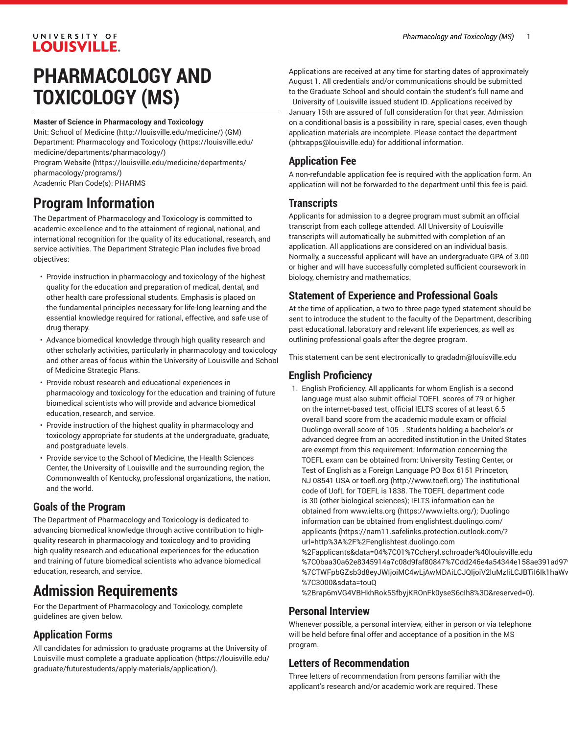#### UNIVERSITY OF **LOUISVILLE.**

# **PHARMACOLOGY AND TOXICOLOGY (MS)**

#### **Master of Science in Pharmacology and Toxicology**

Unit: [School of Medicine \(http://louisville.edu/medicine/\)](http://louisville.edu/medicine/) (GM) Department: [Pharmacology](https://louisville.edu/medicine/departments/pharmacology/) and Toxicology [\(https://louisville.edu/](https://louisville.edu/medicine/departments/pharmacology/) [medicine/departments/pharmacology/](https://louisville.edu/medicine/departments/pharmacology/))

[Program](https://louisville.edu/medicine/departments/pharmacology/programs/) Website [\(https://louisville.edu/medicine/departments/](https://louisville.edu/medicine/departments/pharmacology/programs/) [pharmacology/programs/\)](https://louisville.edu/medicine/departments/pharmacology/programs/)

Academic Plan Code(s): PHARMS

### **Program Information**

The Department of Pharmacology and Toxicology is committed to academic excellence and to the attainment of regional, national, and international recognition for the quality of its educational, research, and service activities. The Department Strategic Plan includes five broad objectives:

- Provide instruction in pharmacology and toxicology of the highest quality for the education and preparation of medical, dental, and other health care professional students. Emphasis is placed on the fundamental principles necessary for life-long learning and the essential knowledge required for rational, effective, and safe use of drug therapy.
- Advance biomedical knowledge through high quality research and other scholarly activities, particularly in pharmacology and toxicology and other areas of focus within the University of Louisville and School of Medicine Strategic Plans.
- Provide robust research and educational experiences in pharmacology and toxicology for the education and training of future biomedical scientists who will provide and advance biomedical education, research, and service.
- Provide instruction of the highest quality in pharmacology and toxicology appropriate for students at the undergraduate, graduate, and postgraduate levels.
- Provide service to the School of Medicine, the Health Sciences Center, the University of Louisville and the surrounding region, the Commonwealth of Kentucky, professional organizations, the nation, and the world.

#### **Goals of the Program**

The Department of Pharmacology and Toxicology is dedicated to advancing biomedical knowledge through active contribution to highquality research in pharmacology and toxicology and to providing high-quality research and educational experiences for the education and training of future biomedical scientists who advance biomedical education, research, and service.

## **Admission Requirements**

For the Department of Pharmacology and Toxicology, complete guidelines are given below.

#### **Application Forms**

All candidates for admission to graduate programs at the University of Louisville must complete a [graduate application](https://louisville.edu/graduate/futurestudents/apply-materials/application/) ([https://louisville.edu/](https://louisville.edu/graduate/futurestudents/apply-materials/application/) [graduate/futurestudents/apply-materials/application/](https://louisville.edu/graduate/futurestudents/apply-materials/application/)).

Applications are received at any time for starting dates of approximately August 1. All credentials and/or communications should be submitted to the Graduate School and should contain the student's full name and University of Louisville issued student ID. Applications received by January 15th are assured of full consideration for that year. Admission on a conditional basis is a possibility in rare, special cases, even though application materials are incomplete. Please contact the [department](mailto:phtxapps@louisville.edu) [\(phtxapps@louisville.edu\)](phtxapps@louisville.edu) for additional information.

### **Application Fee**

A non-refundable application fee is required with the application form. An application will not be forwarded to the department until this fee is paid.

#### **Transcripts**

Applicants for admission to a degree program must submit an official transcript from each college attended. All University of Louisville transcripts will automatically be submitted with completion of an application. All applications are considered on an individual basis. Normally, a successful applicant will have an undergraduate GPA of 3.00 or higher and will have successfully completed sufficient coursework in biology, chemistry and mathematics.

#### **Statement of Experience and Professional Goals**

At the time of application, a two to three page typed statement should be sent to introduce the student to the faculty of the Department, describing past educational, laboratory and relevant life experiences, as well as outlining professional goals after the degree program.

This statement can be sent electronically to [gradadm@louisville.edu](mailto:gradadm@louisville.edu)

#### **English Proficiency**

- 1. English Proficiency. All applicants for whom English is a second language must also submit official TOEFL scores of 79 or higher on the internet-based test, official IELTS scores of at least 6.5 overall band score from the academic module exam or official Duolingo overall score of 105 . Students holding a bachelor's or advanced degree from an accredited institution in the United States are exempt from this requirement. Information concerning the TOEFL exam can be obtained from: University Testing Center, or Test of English as a Foreign Language PO Box 6151 Princeton, NJ 08541 USA or [toefl.org](http://www.toefl.org) ([http://www.toefl.org\)](http://www.toefl.org) The institutional code of UofL for TOEFL is 1838. The TOEFL department code is 30 (other biological sciences); IELTS information can be obtained from [www.ielts.org \(https://www.ielts.org/](https://www.ielts.org/)); Duolingo information can be obtained from [englishtest.duolingo.com/](https://nam11.safelinks.protection.outlook.com/?url=http%3A%2F%2Fenglishtest.duolingo.com%2Fapplicants&data=04%7C01%7Ccheryl.schroader%40louisville.edu%7C0baa30a62e8345914a7c08d9faf80847%7Cdd246e4a54344e158ae391ad9797b209%7C0%7C0%7C637816765462146305%7CUnknown%7CTWFpbGZsb3d8eyJWIjoiMC4wLjAwMDAiLCJQIjoiV2luMzIiLCJBTiI6Ik1haWwiLCJXVCI6Mn0%3D%7C3000&sdata=touQ%2Brap6mVG4VBHkhRok5SfbyjKROnFk0yseS6cIh8%3D&reserved=0) [applicants](https://nam11.safelinks.protection.outlook.com/?url=http%3A%2F%2Fenglishtest.duolingo.com%2Fapplicants&data=04%7C01%7Ccheryl.schroader%40louisville.edu%7C0baa30a62e8345914a7c08d9faf80847%7Cdd246e4a54344e158ae391ad9797b209%7C0%7C0%7C637816765462146305%7CUnknown%7CTWFpbGZsb3d8eyJWIjoiMC4wLjAwMDAiLCJQIjoiV2luMzIiLCJBTiI6Ik1haWwiLCJXVCI6Mn0%3D%7C3000&sdata=touQ%2Brap6mVG4VBHkhRok5SfbyjKROnFk0yseS6cIh8%3D&reserved=0) ([https://nam11.safelinks.protection.outlook.com/?](https://nam11.safelinks.protection.outlook.com/?url=http%3A%2F%2Fenglishtest.duolingo.com%2Fapplicants&data=04%7C01%7Ccheryl.schroader%40louisville.edu%7C0baa30a62e8345914a7c08d9faf80847%7Cdd246e4a54344e158ae391ad9797b209%7C0%7C0%7C637816765462146305%7CUnknown%7CTWFpbGZsb3d8eyJWIjoiMC4wLjAwMDAiLCJQIjoiV2luMzIiLCJBTiI6Ik1haWwiLCJXVCI6Mn0%3D%7C3000&sdata=touQ%2Brap6mVG4VBHkhRok5SfbyjKROnFk0yseS6cIh8%3D&reserved=0) [url=http%3A%2F%2Fenglishtest.duolingo.com](https://nam11.safelinks.protection.outlook.com/?url=http%3A%2F%2Fenglishtest.duolingo.com%2Fapplicants&data=04%7C01%7Ccheryl.schroader%40louisville.edu%7C0baa30a62e8345914a7c08d9faf80847%7Cdd246e4a54344e158ae391ad9797b209%7C0%7C0%7C637816765462146305%7CUnknown%7CTWFpbGZsb3d8eyJWIjoiMC4wLjAwMDAiLCJQIjoiV2luMzIiLCJBTiI6Ik1haWwiLCJXVCI6Mn0%3D%7C3000&sdata=touQ%2Brap6mVG4VBHkhRok5SfbyjKROnFk0yseS6cIh8%3D&reserved=0) [%2Fapplicants&data=04%7C01%7Ccheryl.schroader%40louisville.edu](https://nam11.safelinks.protection.outlook.com/?url=http%3A%2F%2Fenglishtest.duolingo.com%2Fapplicants&data=04%7C01%7Ccheryl.schroader%40louisville.edu%7C0baa30a62e8345914a7c08d9faf80847%7Cdd246e4a54344e158ae391ad9797b209%7C0%7C0%7C637816765462146305%7CUnknown%7CTWFpbGZsb3d8eyJWIjoiMC4wLjAwMDAiLCJQIjoiV2luMzIiLCJBTiI6Ik1haWwiLCJXVCI6Mn0%3D%7C3000&sdata=touQ%2Brap6mVG4VBHkhRok5SfbyjKROnFk0yseS6cIh8%3D&reserved=0) %7C0baa30a62e8345914a7c08d9faf80847%7Cdd246e4a54344e158ae391ad97 %7CTWFpbGZsb3d8eyJWIjoiMC4wLjAwMDAiLCJQIjoiV2luMzIiLCJBTiI6Ik1haWv [%7C3000&sdata=touQ](https://nam11.safelinks.protection.outlook.com/?url=http%3A%2F%2Fenglishtest.duolingo.com%2Fapplicants&data=04%7C01%7Ccheryl.schroader%40louisville.edu%7C0baa30a62e8345914a7c08d9faf80847%7Cdd246e4a54344e158ae391ad9797b209%7C0%7C0%7C637816765462146305%7CUnknown%7CTWFpbGZsb3d8eyJWIjoiMC4wLjAwMDAiLCJQIjoiV2luMzIiLCJBTiI6Ik1haWwiLCJXVCI6Mn0%3D%7C3000&sdata=touQ%2Brap6mVG4VBHkhRok5SfbyjKROnFk0yseS6cIh8%3D&reserved=0)
	- [%2Brap6mVG4VBHkhRok5SfbyjKROnFk0yseS6cIh8%3D&reserved=0\)](https://nam11.safelinks.protection.outlook.com/?url=http%3A%2F%2Fenglishtest.duolingo.com%2Fapplicants&data=04%7C01%7Ccheryl.schroader%40louisville.edu%7C0baa30a62e8345914a7c08d9faf80847%7Cdd246e4a54344e158ae391ad9797b209%7C0%7C0%7C637816765462146305%7CUnknown%7CTWFpbGZsb3d8eyJWIjoiMC4wLjAwMDAiLCJQIjoiV2luMzIiLCJBTiI6Ik1haWwiLCJXVCI6Mn0%3D%7C3000&sdata=touQ%2Brap6mVG4VBHkhRok5SfbyjKROnFk0yseS6cIh8%3D&reserved=0).

#### **Personal Interview**

Whenever possible, a personal interview, either in person or via telephone will be held before final offer and acceptance of a position in the MS program.

#### **Letters of Recommendation**

Three letters of recommendation from persons familiar with the applicant's research and/or academic work are required. These